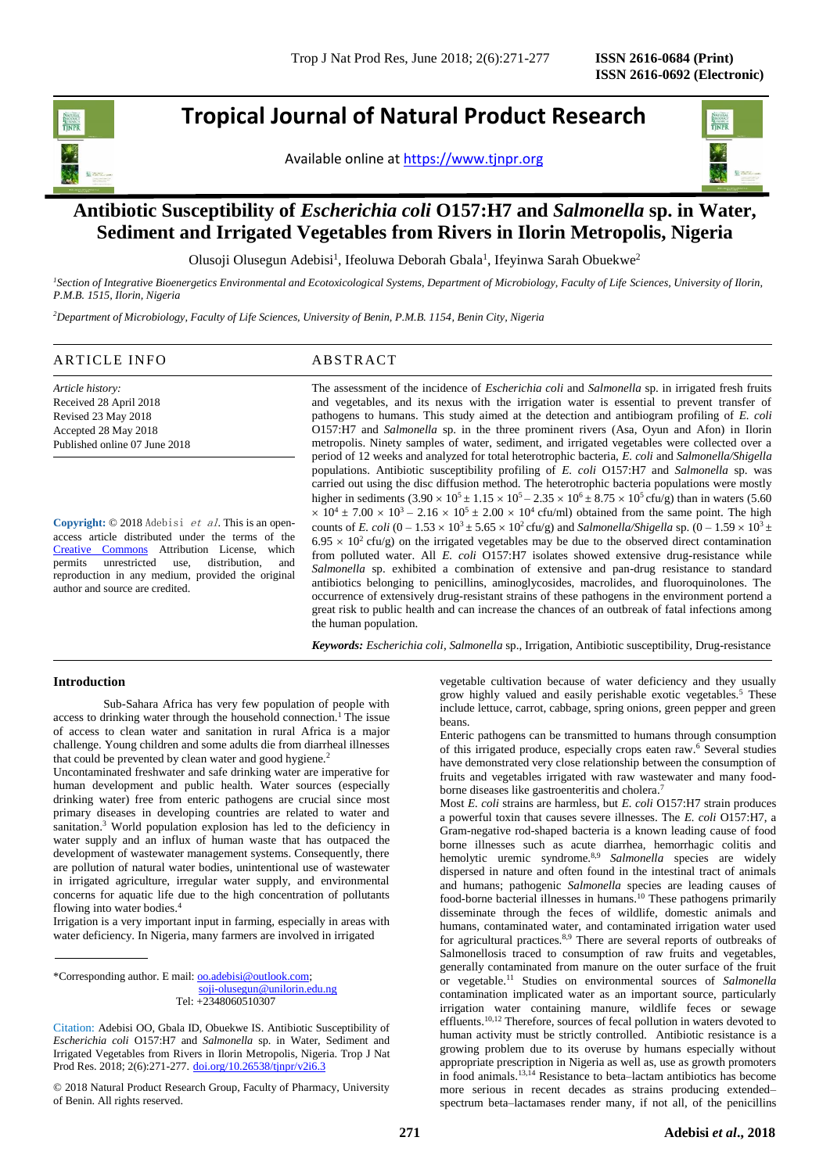## **Tropical Journal of Natural Product Research**

Available online a[t https://www.tjnpr.org](https://www.tjnpr.org/)



### ı **Antibiotic Susceptibility of** *Escherichia coli* **O157:H7 and** *Salmonella* **sp. in Water, Sediment and Irrigated Vegetables from Rivers in Ilorin Metropolis, Nigeria**

Olusoji Olusegun Adebisi<sup>1</sup>, Ifeoluwa Deborah Gbala<sup>1</sup>, Ifeyinwa Sarah Obuekwe<sup>2</sup>

*<sup>1</sup>Section of Integrative Bioenergetics Environmental and Ecotoxicological Systems, Department of Microbiology, Faculty of Life Sciences, University of Ilorin, P.M.B. 1515, Ilorin, Nigeria*

*<sup>2</sup>Department of Microbiology, Faculty of Life Sciences, University of Benin, P.M.B. 1154, Benin City, Nigeria*

### ARTICLE INFO ABSTRACT

*Article history:* Received 28 April 2018 Revised 23 May 2018 Accepted 28 May 2018 Published online 07 June 2018

**Copyright:** © 2018 Adebisi et al. This is an openaccess article distributed under the terms of the [Creative Commons](https://creativecommons.org/licenses/by/4.0/) Attribution License, which permits unrestricted use, distribution, and reproduction in any medium, provided the original author and source are credited.

The assessment of the incidence of *Escherichia coli* and *Salmonella* sp. in irrigated fresh fruits and vegetables, and its nexus with the irrigation water is essential to prevent transfer of pathogens to humans. This study aimed at the detection and antibiogram profiling of *E. coli*  O157:H7 and *Salmonella* sp. in the three prominent rivers (Asa, Oyun and Afon) in Ilorin metropolis. Ninety samples of water, sediment, and irrigated vegetables were collected over a period of 12 weeks and analyzed for total heterotrophic bacteria, *E. coli* and *Salmonella/Shigella* populations. Antibiotic susceptibility profiling of *E. coli* O157:H7 and *Salmonella* sp. was carried out using the disc diffusion method. The heterotrophic bacteria populations were mostly higher in sediments  $(3.90 \times 10^5 \pm 1.15 \times 10^5 - 2.35 \times 10^6 \pm 8.75 \times 10^5 \text{ cftu/g})$  than in waters (5.60)  $\times$  10<sup>4</sup>  $\pm$  7.00  $\times$  10<sup>3</sup> – 2.16  $\times$  10<sup>5</sup>  $\pm$  2.00  $\times$  10<sup>4</sup> cfu/ml) obtained from the same point. The high counts of *E. coli*  $(0 - 1.53 \times 10^3 \pm 5.65 \times 10^2 \text{ cfty/g})$  and *Salmonella/Shigella* sp.  $(0 - 1.59 \times 10^3 \pm 10^2 \text{ s})$  $6.95 \times 10^2$  cfu/g) on the irrigated vegetables may be due to the observed direct contamination from polluted water. All *E. coli* O157:H7 isolates showed extensive drug-resistance while *Salmonella* sp. exhibited a combination of extensive and pan-drug resistance to standard antibiotics belonging to penicillins, aminoglycosides, macrolides, and fluoroquinolones. The occurrence of extensively drug-resistant strains of these pathogens in the environment portend a great risk to public health and can increase the chances of an outbreak of fatal infections among the human population.

*Keywords: Escherichia coli*, *Salmonella* sp., Irrigation, Antibiotic susceptibility, Drug-resistance

### **Introduction**

Sub-Sahara Africa has very few population of people with access to drinking water through the household connection.<sup>1</sup> The issue of access to clean water and sanitation in rural Africa is a major challenge. Young children and some adults die from diarrheal illnesses that could be prevented by clean water and good hygiene.<sup>2</sup>

Uncontaminated freshwater and safe drinking water are imperative for human development and public health. Water sources (especially drinking water) free from enteric pathogens are crucial since most primary diseases in developing countries are related to water and sanitation. <sup>3</sup> World population explosion has led to the deficiency in water supply and an influx of human waste that has outpaced the development of wastewater management systems. Consequently, there are pollution of natural water bodies, unintentional use of wastewater in irrigated agriculture, irregular water supply, and environmental concerns for aquatic life due to the high concentration of pollutants flowing into water bodies.<sup>4</sup>

Irrigation is a very important input in farming, especially in areas with water deficiency. In Nigeria, many farmers are involved in irrigated

\*Corresponding author. E mail[: oo.adebisi@outlook.com;](mailto:oo.adebisi@outlook.com)

 [soji-olusegun@unilorin.edu.ng](mailto:soji-olusegun@unilorin.edu.ng) Tel: +2348060510307

© 2018 Natural Product Research Group, Faculty of Pharmacy, University of Benin. All rights reserved.

vegetable cultivation because of water deficiency and they usually grow highly valued and easily perishable exotic vegetables.<sup>5</sup> These include lettuce, carrot, cabbage, spring onions, green pepper and green beans.

Enteric pathogens can be transmitted to humans through consumption of this irrigated produce, especially crops eaten raw. <sup>6</sup> Several studies have demonstrated very close relationship between the consumption of fruits and vegetables irrigated with raw wastewater and many foodborne diseases like gastroenteritis and cholera.<sup>7</sup>

Most *E. coli* strains are harmless, but *E. coli* O157:H7 strain produces a powerful toxin that causes severe illnesses. The *E. coli* O157:H7, a Gram-negative rod-shaped bacteria is a known leading cause of food borne illnesses such as acute diarrhea, hemorrhagic colitis and hemolytic uremic syndrome.<sup>8,9</sup> *Salmonella* species are widely dispersed in nature and often found in the intestinal tract of animals and humans; pathogenic *Salmonella* species are leading causes of food-borne bacterial illnesses in humans.<sup>10</sup> These pathogens primarily disseminate through the feces of wildlife, domestic animals and humans, contaminated water, and contaminated irrigation water used for agricultural practices.8,9 There are several reports of outbreaks of Salmonellosis traced to consumption of raw fruits and vegetables, generally contaminated from manure on the outer surface of the fruit or vegetable.<sup>11</sup> Studies on environmental sources of *Salmonella*  contamination implicated water as an important source, particularly irrigation water containing manure, wildlife feces or sewage effluents.<sup>10,12</sup> Therefore, sources of fecal pollution in waters devoted to human activity must be strictly controlled. Antibiotic resistance is a growing problem due to its overuse by humans especially without appropriate prescription in Nigeria as well as, use as growth promoters in food animals.13,14 Resistance to beta–lactam antibiotics has become more serious in recent decades as strains producing extended– spectrum beta–lactamases render many, if not all, of the penicillins

Citation: Adebisi OO, Gbala ID, Obuekwe IS. Antibiotic Susceptibility of *Escherichia coli* O157:H7 and *Salmonella* sp. in Water, Sediment and Irrigated Vegetables from Rivers in Ilorin Metropolis, Nigeria. Trop J Nat Prod Res. 2018; 2(6):271-277. [doi.org/10.26538/tjnpr/v2i6.3](http://www.doi.org/10.26538/tjnpr/v1i4.5)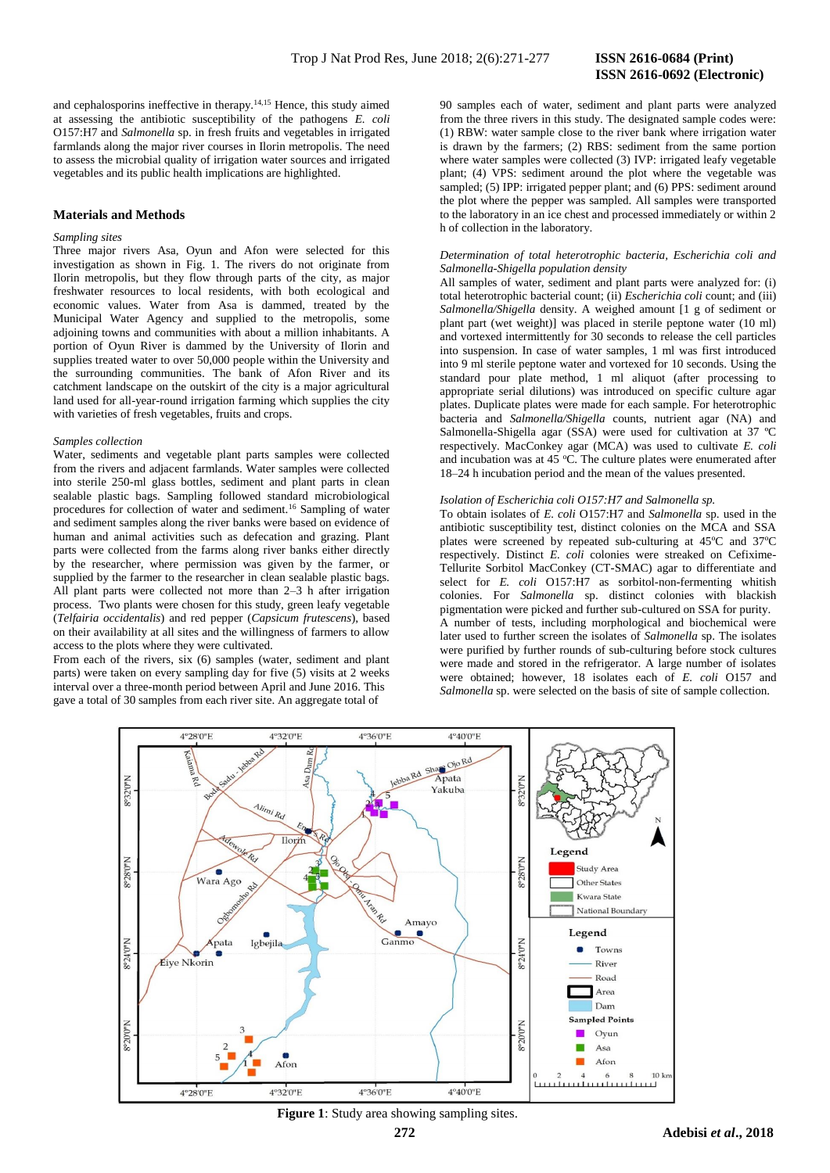and cephalosporins ineffective in therapy.14,15 Hence, this study aimed at assessing the antibiotic susceptibility of the pathogens *E. coli* O157:H7 and *Salmonella* sp. in fresh fruits and vegetables in irrigated farmlands along the major river courses in Ilorin metropolis. The need to assess the microbial quality of irrigation water sources and irrigated vegetables and its public health implications are highlighted.

### **Materials and Methods**

### *Sampling sites*

Three major rivers Asa, Oyun and Afon were selected for this investigation as shown in Fig. 1. The rivers do not originate from Ilorin metropolis, but they flow through parts of the city, as major freshwater resources to local residents, with both ecological and economic values. Water from Asa is dammed, treated by the Municipal Water Agency and supplied to the metropolis, some adjoining towns and communities with about a million inhabitants. A portion of Oyun River is dammed by the University of Ilorin and supplies treated water to over 50,000 people within the University and the surrounding communities. The bank of Afon River and its catchment landscape on the outskirt of the city is a major agricultural land used for all-year-round irrigation farming which supplies the city with varieties of fresh vegetables, fruits and crops.

### *Samples collection*

Water, sediments and vegetable plant parts samples were collected from the rivers and adjacent farmlands. Water samples were collected into sterile 250-ml glass bottles, sediment and plant parts in clean sealable plastic bags. Sampling followed standard microbiological procedures for collection of water and sediment.<sup>16</sup> Sampling of water and sediment samples along the river banks were based on evidence of human and animal activities such as defecation and grazing. Plant parts were collected from the farms along river banks either directly by the researcher, where permission was given by the farmer, or supplied by the farmer to the researcher in clean sealable plastic bags. All plant parts were collected not more than 2–3 h after irrigation process. Two plants were chosen for this study, green leafy vegetable (*Telfairia occidentalis*) and red pepper (*Capsicum frutescens*), based on their availability at all sites and the willingness of farmers to allow access to the plots where they were cultivated.

From each of the rivers, six (6) samples (water, sediment and plant parts) were taken on every sampling day for five (5) visits at 2 weeks interval over a three-month period between April and June 2016. This gave a total of 30 samples from each river site. An aggregate total of

90 samples each of water, sediment and plant parts were analyzed from the three rivers in this study. The designated sample codes were: (1) RBW: water sample close to the river bank where irrigation water is drawn by the farmers; (2) RBS: sediment from the same portion where water samples were collected (3) IVP: irrigated leafy vegetable plant; (4) VPS: sediment around the plot where the vegetable was sampled; (5) IPP: irrigated pepper plant; and (6) PPS: sediment around the plot where the pepper was sampled. All samples were transported to the laboratory in an ice chest and processed immediately or within 2 h of collection in the laboratory.

### *Determination of total heterotrophic bacteria, Escherichia coli and Salmonella-Shigella population density*

All samples of water, sediment and plant parts were analyzed for: (i) total heterotrophic bacterial count; (ii) *Escherichia coli* count; and (iii) *Salmonella/Shigella* density. A weighed amount [1 g of sediment or plant part (wet weight)] was placed in sterile peptone water (10 ml) and vortexed intermittently for 30 seconds to release the cell particles into suspension. In case of water samples, 1 ml was first introduced into 9 ml sterile peptone water and vortexed for 10 seconds. Using the standard pour plate method, 1 ml aliquot (after processing to appropriate serial dilutions) was introduced on specific culture agar plates. Duplicate plates were made for each sample. For heterotrophic bacteria and *Salmonella/Shigella* counts, nutrient agar (NA) and Salmonella-Shigella agar (SSA) were used for cultivation at 37 ºC respectively. MacConkey agar (MCA) was used to cultivate *E. coli* and incubation was at 45  $^{\circ}$ C. The culture plates were enumerated after 18–24 h incubation period and the mean of the values presented.

### *Isolation of Escherichia coli O157:H7 and Salmonella sp.*

To obtain isolates of *E. coli* O157:H7 and *Salmonella* sp. used in the antibiotic susceptibility test, distinct colonies on the MCA and SSA plates were screened by repeated sub-culturing at 45°C and 37°C respectively. Distinct *E. coli* colonies were streaked on Cefixime-Tellurite Sorbitol MacConkey (CT-SMAC) agar to differentiate and select for *E. coli* O157:H7 as sorbitol-non-fermenting whitish colonies. For *Salmonella* sp. distinct colonies with blackish pigmentation were picked and further sub-cultured on SSA for purity. A number of tests, including morphological and biochemical were later used to further screen the isolates of *Salmonella* sp. The isolates were purified by further rounds of sub-culturing before stock cultures were made and stored in the refrigerator. A large number of isolates were obtained; however, 18 isolates each of *E. coli* O157 and *Salmonella* sp. were selected on the basis of site of sample collection.



**Figure 1**: Study area showing sampling sites.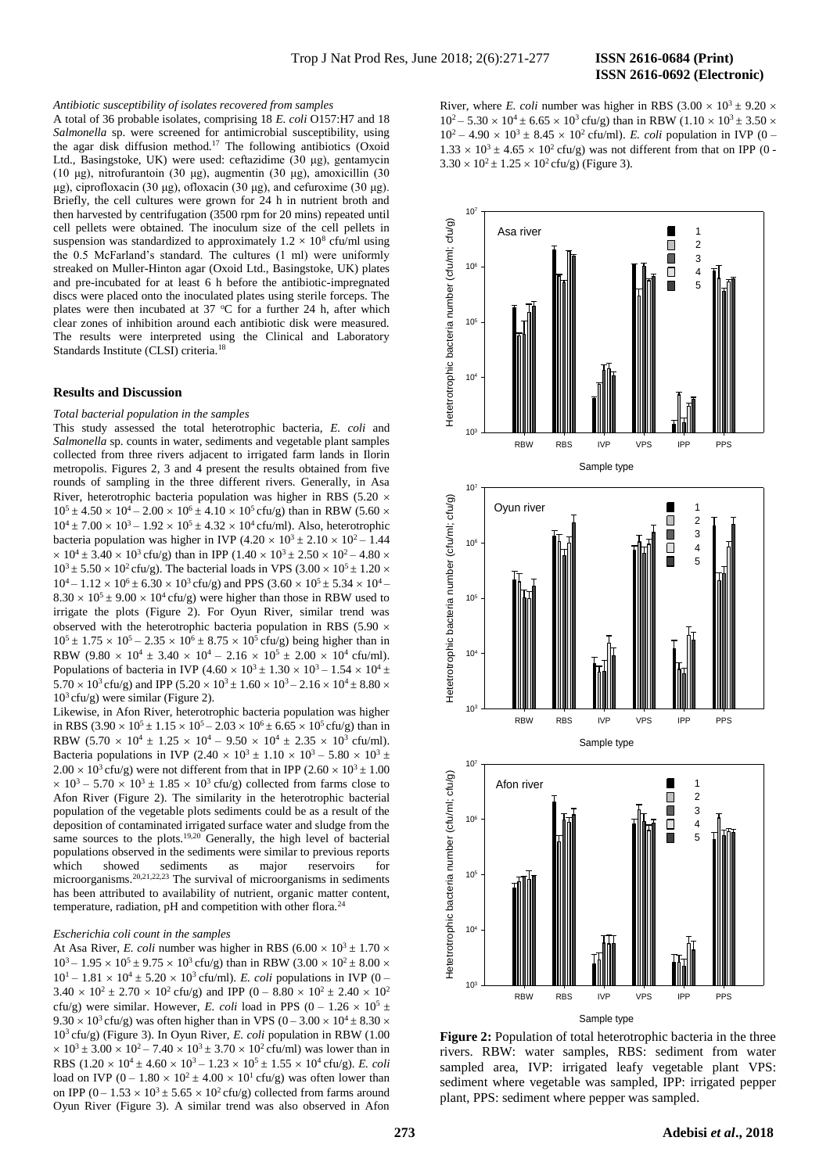# **ISSN 2616-0692 (Electronic)**

### *Antibiotic susceptibility of isolates recovered from samples*

A total of 36 probable isolates, comprising 18 *E. coli* O157:H7 and 18 *Salmonella* sp. were screened for antimicrobial susceptibility, using the agar disk diffusion method.<sup>17</sup> The following antibiotics (Oxoid Ltd., Basingstoke, UK) were used: ceftazidime (30 μg), gentamycin (10 μg), nitrofurantoin (30 μg), augmentin (30 μg), amoxicillin (30 μg), ciprofloxacin (30 μg), ofloxacin (30 μg), and cefuroxime (30 μg). Briefly, the cell cultures were grown for 24 h in nutrient broth and then harvested by centrifugation (3500 rpm for 20 mins) repeated until cell pellets were obtained. The inoculum size of the cell pellets in suspension was standardized to approximately  $1.2 \times 10^8$  cfu/ml using the 0.5 McFarland's standard. The cultures (1 ml) were uniformly streaked on Muller-Hinton agar (Oxoid Ltd., Basingstoke, UK) plates and pre-incubated for at least 6 h before the antibiotic-impregnated discs were placed onto the inoculated plates using sterile forceps. The plates were then incubated at 37  $\degree$ C for a further 24 h, after which clear zones of inhibition around each antibiotic disk were measured. The results were interpreted using the Clinical and Laboratory Standards Institute (CLSI) criteria.<sup>18</sup>

### **Results and Discussion**

*Total bacterial population in the samples*

This study assessed the total heterotrophic bacteria, *E. coli* and *Salmonella* sp. counts in water, sediments and vegetable plant samples collected from three rivers adjacent to irrigated farm lands in Ilorin metropolis. Figures 2, 3 and 4 present the results obtained from five rounds of sampling in the three different rivers. Generally, in Asa River, heterotrophic bacteria population was higher in RBS (5.20  $\times$  $10^5 \pm 4.50 \times 10^4 - 2.00 \times 10^6 \pm 4.10 \times 10^5$  cfu/g) than in RBW (5.60  $\times$  $10^4 \pm 7.00 \times 10^3 - 1.92 \times 10^5 \pm 4.32 \times 10^4$  cfu/ml). Also, heterotrophic bacteria population was higher in IVP (4.20  $\times$  10<sup>3</sup>  $\pm$  2.10  $\times$  10<sup>2</sup> – 1.44  $\times$  10<sup>4</sup> ± 3.40  $\times$  10<sup>3</sup> cfu/g) than in IPP (1.40  $\times$  10<sup>3</sup> ± 2.50  $\times$  10<sup>2</sup> – 4.80  $\times$  $10^3 \pm 5.50 \times 10^2$  cfu/g). The bacterial loads in VPS (3.00  $\times 10^5 \pm 1.20 \times$  $10^4 - 1.12 \times 10^6 \pm 6.30 \times 10^3$  cfu/g) and PPS  $(3.60 \times 10^5 \pm 5.34 \times 10^4 8.30 \times 10^5 \pm 9.00 \times 10^4$  cfu/g) were higher than those in RBW used to irrigate the plots (Figure 2). For Oyun River, similar trend was observed with the heterotrophic bacteria population in RBS (5.90  $\times$  $10^5 \pm 1.75 \times 10^5 - 2.35 \times 10^6 \pm 8.75 \times 10^5$  cfu/g) being higher than in RBW  $(9.80 \times 10^4 \pm 3.40 \times 10^4 - 2.16 \times 10^5 \pm 2.00 \times 10^4 \text{ cftu/ml}).$ Populations of bacteria in IVP (4.60  $\times$  10<sup>3</sup>  $\pm$  1.30  $\times$  10<sup>3</sup>  $-$  1.54  $\times$  10<sup>4</sup>  $\pm$  $5.70 \times 10^3$  cfu/g) and IPP ( $5.20 \times 10^3 \pm 1.60 \times 10^3 - 2.16 \times 10^4 \pm 8.80 \times$  $10<sup>3</sup>$ cfu/g) were similar (Figure 2).

Likewise, in Afon River, heterotrophic bacteria population was higher in RBS (3.90  $\times$  10<sup>5</sup>  $\pm$  1.15  $\times$  10<sup>5</sup>  $-$  2.03  $\times$  10<sup>6</sup>  $\pm$  6.65  $\times$  10<sup>5</sup> cfu/g) than in RBW  $(5.70 \times 10^4 \pm 1.25 \times 10^4 - 9.50 \times 10^4 \pm 2.35 \times 10^3 \text{ cftu/ml}).$ Bacteria populations in IVP (2.40  $\times$  10<sup>3</sup>  $\pm$  1.10  $\times$  10<sup>3</sup>  $\pm$  5.80  $\times$  10<sup>3</sup>  $\pm$  $2.00 \times 10^3$  cfu/g) were not different from that in IPP (2.60  $\times 10^3 \pm 1.00$  $\times$  10<sup>3</sup> – 5.70  $\times$  10<sup>3</sup>  $\pm$  1.85  $\times$  10<sup>3</sup> cfu/g) collected from farms close to Afon River (Figure 2). The similarity in the heterotrophic bacterial population of the vegetable plots sediments could be as a result of the deposition of contaminated irrigated surface water and sludge from the same sources to the plots.<sup>19,20</sup> Generally, the high level of bacterial populations observed in the sediments were similar to previous reports which showed sediments as major reservoirs for microorganisms.<sup>20,21,22,23</sup> The survival of microorganisms in sediments has been attributed to availability of nutrient, organic matter content, temperature, radiation, pH and competition with other flora.<sup>24</sup>

### *Escherichia coli count in the samples*

At Asa River, *E. coli* number was higher in RBS (6.00  $\times$  10<sup>3</sup>  $\pm$  1.70  $\times$  $10^3 - 1.95 \times 10^5 \pm 9.75 \times 10^3$  cfu/g) than in RBW (3.00  $\times 10^2 \pm 8.00 \times 10^4$  $10^1 - 1.81 \times 10^4 \pm 5.20 \times 10^3$  cfu/ml). *E. coli* populations in IVP (0 –  $3.40 \times 10^2 \pm 2.70 \times 10^2$  cfu/g) and IPP (0 – 8.80  $\times 10^2 \pm 2.40 \times 10^2$ cfu/g) were similar. However, *E. coli* load in PPS  $(0 - 1.26 \times 10^5 \pm 1.000)$  $9.30 \times 10^3$  cfu/g) was often higher than in VPS (0 – 3.00  $\times$  10<sup>4</sup> ± 8.30  $\times$  $10^3$  cfu/g) (Figure 3). In Oyun River, *E. coli* population in RBW (1.00)  $\times$  10<sup>3</sup> ± 3.00  $\times$  10<sup>2</sup> – 7.40  $\times$  10<sup>3</sup> ± 3.70  $\times$  10<sup>2</sup> cfu/ml) was lower than in RBS  $(1.20 \times 10^4 \pm 4.60 \times 10^3 - 1.23 \times 10^5 \pm 1.55 \times 10^4 \text{ cfty/g}).$  *E. coli* load on IVP (0 – 1.80  $\times$  10<sup>2</sup>  $\pm$  4.00  $\times$  10<sup>1</sup> cfu/g) was often lower than on IPP  $(0 - 1.53 \times 10^3 \pm 5.65 \times 10^2 \text{ cftu/g})$  collected from farms around Oyun River (Figure 3). A similar trend was also observed in Afon

River, where *E. coli* number was higher in RBS  $(3.00 \times 10^3 \pm 9.20 \times$  $10^2 - 5.30 \times 10^4 \pm 6.65 \times 10^3$  cfu/g) than in RBW (1.10  $\times 10^3 \pm 3.50 \times$  $10^2 - 4.90 \times 10^3 \pm 8.45 \times 10^2$  cfu/ml). *E. coli* population in IVP (0 –  $1.33 \times 10^3 \pm 4.65 \times 10^2$  cfu/g) was not different from that on IPP (0 - $3.30 \times 10^2 \pm 1.25 \times 10^2$  cfu/g) (Figure 3).



**Figure 2:** Population of total heterotrophic bacteria in the three rivers. RBW: water samples, RBS: sediment from water sampled area, IVP: irrigated leafy vegetable plant VPS: sediment where vegetable was sampled, IPP: irrigated pepper plant, PPS: sediment where pepper was sampled.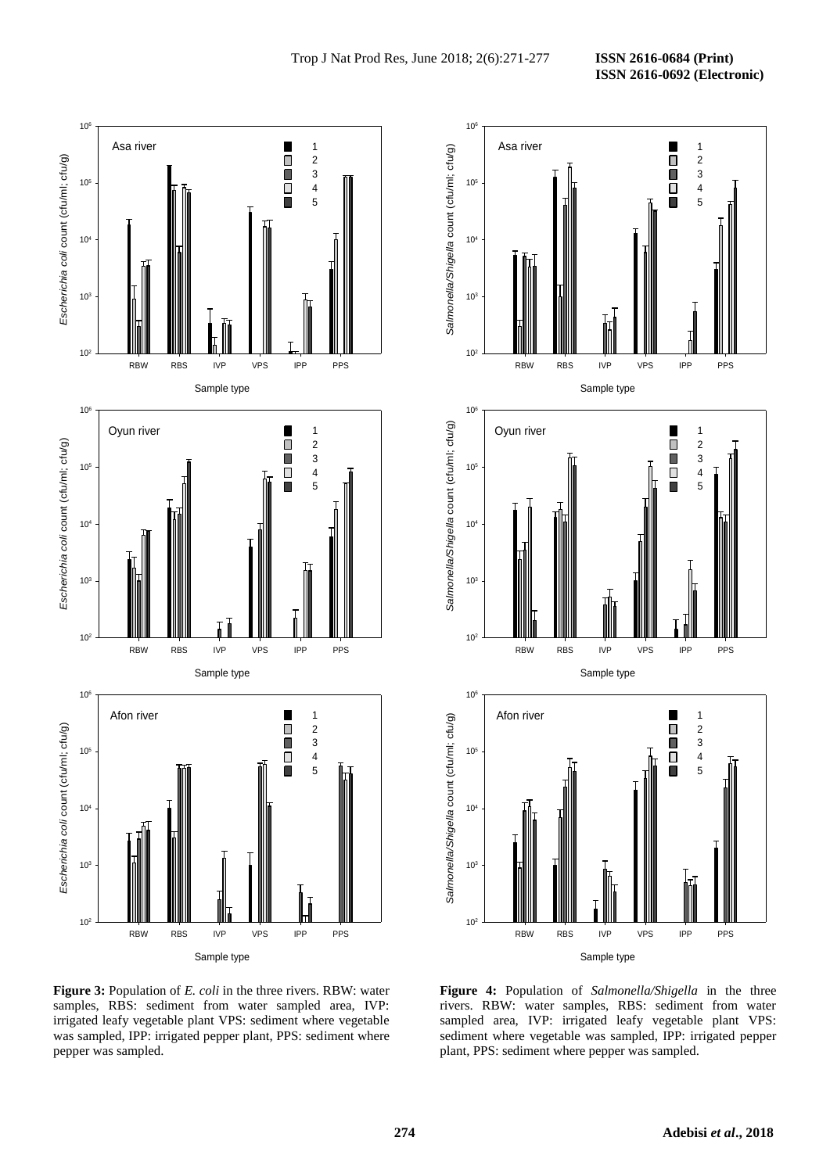

**Figure 3:** Population of *E. coli* in the three rivers. RBW: water samples, RBS: sediment from water sampled area, IVP: irrigated leafy vegetable plant VPS: sediment where vegetable was sampled, IPP: irrigated pepper plant, PPS: sediment where pepper was sampled.



**Figure 4:** Population of *Salmonella/Shigella* in the three rivers. RBW: water samples, RBS: sediment from water sampled area, IVP: irrigated leafy vegetable plant VPS: sediment where vegetable was sampled, IPP: irrigated pepper plant, PPS: sediment where pepper was sampled.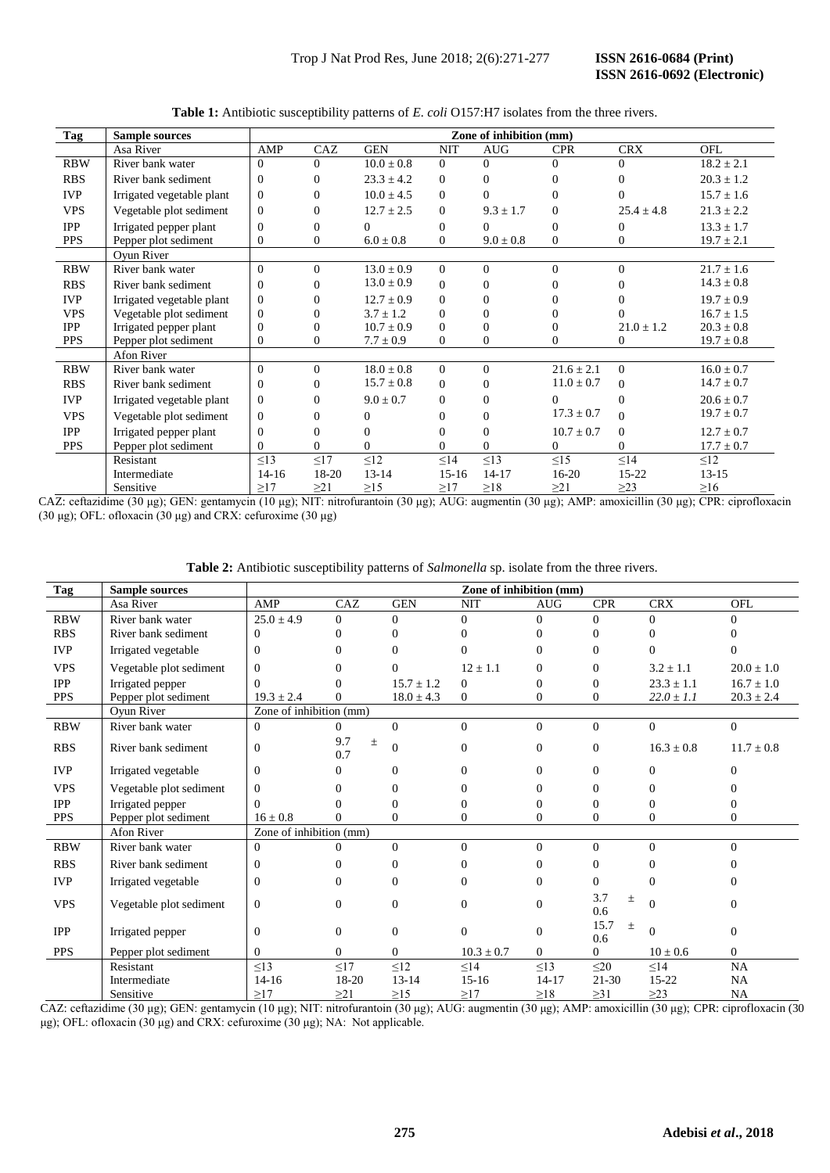| <b>Tag</b> | <b>Sample sources</b>     | Zone of inhibition (mm) |              |                |                  |               |                |                |                |  |
|------------|---------------------------|-------------------------|--------------|----------------|------------------|---------------|----------------|----------------|----------------|--|
|            | Asa River                 | AMP                     | CAZ          | <b>GEN</b>     | <b>NIT</b>       | <b>AUG</b>    | <b>CPR</b>     | <b>CRX</b>     | OFL            |  |
| <b>RBW</b> | River bank water          | $\Omega$                | $\Omega$     | $10.0 \pm 0.8$ | $\Omega$         | $\Omega$      | $\Omega$       | 0              | $18.2 \pm 2.1$ |  |
| <b>RBS</b> | River bank sediment       | $\Omega$                | $\Omega$     | $23.3 \pm 4.2$ | $\mathbf{0}$     | $\Omega$      | $\Omega$       | 0              | $20.3 \pm 1.2$ |  |
| <b>IVP</b> | Irrigated vegetable plant | $\Omega$                | $\Omega$     | $10.0 \pm 4.5$ | $\theta$         | $\Omega$      | $\Omega$       | 0              | $15.7 \pm 1.6$ |  |
| <b>VPS</b> | Vegetable plot sediment   | $\Omega$                | $\theta$     | $12.7 \pm 2.5$ | $\boldsymbol{0}$ | $9.3 \pm 1.7$ | $\Omega$       | $25.4 \pm 4.8$ | $21.3 \pm 2.2$ |  |
| <b>IPP</b> | Irrigated pepper plant    | $\Omega$                | $\theta$     | $\Omega$       | $\mathbf{0}$     | $\Omega$      | $\Omega$       | 0              | $13.3 \pm 1.7$ |  |
| <b>PPS</b> | Pepper plot sediment      | $\Omega$                | $\Omega$     | $6.0 \pm 0.8$  | $\boldsymbol{0}$ | $9.0 \pm 0.8$ | $\Omega$       | 0              | $19.7 \pm 2.1$ |  |
|            | Ovun River                |                         |              |                |                  |               |                |                |                |  |
| <b>RBW</b> | River bank water          | $\Omega$                | $\Omega$     | $13.0 \pm 0.9$ | $\overline{0}$   | $\Omega$      | $\Omega$       | $\Omega$       | $21.7 \pm 1.6$ |  |
| <b>RBS</b> | River bank sediment       | $\Omega$                | $\Omega$     | $13.0 \pm 0.9$ | $\Omega$         | $\Omega$      | $\Omega$       |                | $14.3 \pm 0.8$ |  |
| <b>IVP</b> | Irrigated vegetable plant | $\Omega$                | $\Omega$     | $12.7 \pm 0.9$ | $\overline{0}$   | $\Omega$      | $\Omega$       |                | $19.7 \pm 0.9$ |  |
| <b>VPS</b> | Vegetable plot sediment   | $\Omega$                | $\Omega$     | $3.7 \pm 1.2$  | $\overline{0}$   | $\Omega$      | 0              |                | $16.7 \pm 1.5$ |  |
| <b>IPP</b> | Irrigated pepper plant    | $\Omega$                | $\Omega$     | $10.7 \pm 0.9$ | $\theta$         | $\mathbf{0}$  | $\Omega$       | $21.0 \pm 1.2$ | $20.3 \pm 0.8$ |  |
| <b>PPS</b> | Pepper plot sediment      | $\Omega$                | $\mathbf{0}$ | $7.7 \pm 0.9$  | $\theta$         | $\mathbf{0}$  | $\Omega$       | 0              | $19.7 \pm 0.8$ |  |
|            | Afon River                |                         |              |                |                  |               |                |                |                |  |
| <b>RBW</b> | River bank water          | $\Omega$                | $\Omega$     | $18.0 \pm 0.8$ | $\Omega$         | $\Omega$      | $21.6 \pm 2.1$ | $\Omega$       | $16.0 \pm 0.7$ |  |
| <b>RBS</b> | River bank sediment       | $\Omega$                | $\Omega$     | $15.7 \pm 0.8$ | $\mathbf{0}$     | $\mathbf{0}$  | $11.0 \pm 0.7$ | $\Omega$       | $14.7 \pm 0.7$ |  |
| <b>IVP</b> | Irrigated vegetable plant | $\Omega$                | $\Omega$     | $9.0 \pm 0.7$  | $\boldsymbol{0}$ | $\theta$      | $\Omega$       | $\Omega$       | $20.6 \pm 0.7$ |  |
| <b>VPS</b> | Vegetable plot sediment   | $\Omega$                | $\Omega$     | $\mathbf{0}$   | $\mathbf{0}$     | $\Omega$      | $17.3 \pm 0.7$ | $\Omega$       | $19.7 \pm 0.7$ |  |
| <b>IPP</b> | Irrigated pepper plant    | $\Omega$                | $\Omega$     | $\overline{0}$ | $\mathbf{0}$     | $\mathbf{0}$  | $10.7 \pm 0.7$ | $\Omega$       | $12.7 \pm 0.7$ |  |
| <b>PPS</b> | Pepper plot sediment      | $\Omega$                | $\Omega$     | $\theta$       | $\Omega$         | $\Omega$      | $\Omega$       | $\Omega$       | $17.7 \pm 0.7$ |  |
|            | Resistant                 | $\leq$ 13               | $\leq17$     | $\leq$ 12      | $\leq$ 14        | $\leq$ 13     | $\leq$ 15      | $\leq$ 14      | $\leq$ 12      |  |
|            | Intermediate              | $14 - 16$               | 18-20        | $13 - 14$      | $15 - 16$        | $14 - 17$     | 16-20          | 15-22          | $13 - 15$      |  |
|            | Sensitive                 | $\geq$ 17               | $\geq$ 21    | $\geq$ 15      | $\geq$ 17        | $\geq$ 18     | $\geq$ 21      | $\geq$ 23      | $\geq 16$      |  |

**Table 1:** Antibiotic susceptibility patterns of *E. coli* O157:H7 isolates from the three rivers.

CAZ: ceftazidime (30 μg); GEN: gentamycin (10 μg); NIT: nitrofurantoin (30 μg); AUG: augmentin (30 μg); AMP: amoxicillin (30 μg); CPR: ciprofloxacin (30 μg); OFL: ofloxacin (30 μg) and CRX: cefuroxime (30 μg)

| Table 2: Antibiotic susceptibility patterns of Salmonella sp. isolate from the three rivers. |  |  |
|----------------------------------------------------------------------------------------------|--|--|
|----------------------------------------------------------------------------------------------|--|--|

| Tag        | <b>Sample sources</b>   | Zone of inhibition (mm) |                     |                |                |            |                      |                |                |
|------------|-------------------------|-------------------------|---------------------|----------------|----------------|------------|----------------------|----------------|----------------|
|            | Asa River               | AMP                     | CAZ                 | <b>GEN</b>     | <b>NIT</b>     | <b>AUG</b> | <b>CPR</b>           | <b>CRX</b>     | OFL            |
| <b>RBW</b> | River bank water        | $25.0 \pm 4.9$          | $\Omega$            | $\Omega$       | $\Omega$       | $\Omega$   | $\Omega$             | $\Omega$       | $\Omega$       |
| <b>RBS</b> | River bank sediment     | $\Omega$                | 0                   |                |                |            | 0                    | $\Omega$       |                |
| <b>IVP</b> | Irrigated vegetable     | $\Omega$                | 0                   |                | 0              | 0          | 0                    | $\Omega$       |                |
| <b>VPS</b> | Vegetable plot sediment | $\Omega$                | 0                   | 0              | $12 \pm 1.1$   | 0          | 0                    | $3.2 \pm 1.1$  | $20.0 \pm 1.0$ |
| <b>IPP</b> | Irrigated pepper        | 0                       |                     | $15.7 \pm 1.2$ | $\Omega$       | 0          | 0                    | $23.3 \pm 1.1$ | $16.7 \pm 1.0$ |
| <b>PPS</b> | Pepper plot sediment    | $19.3 \pm 2.4$          | 0                   | $18.0 \pm 4.3$ | $\Omega$       | 0          | 0                    | $22.0 \pm 1.1$ | $20.3 \pm 2.4$ |
|            | Oyun River              | Zone of inhibition (mm) |                     |                |                |            |                      |                |                |
| <b>RBW</b> | River bank water        | $\Omega$                | $\Omega$            | $\Omega$       | $\Omega$       | $\Omega$   | $\Omega$             | $\Omega$       | $\Omega$       |
| <b>RBS</b> | River bank sediment     | $\Omega$                | 9.7<br>$\pm$<br>0.7 | $\Omega$       | $\Omega$       | 0          | $\mathbf{0}$         | $16.3 \pm 0.8$ | $11.7 \pm 0.8$ |
| <b>IVP</b> | Irrigated vegetable     | $\Omega$                | 0                   | $\Omega$       | $\Omega$       | 0          | 0                    | $\Omega$       | $\Omega$       |
| <b>VPS</b> | Vegetable plot sediment | $\Omega$                | 0                   | $\Omega$       | $\Omega$       | 0          | 0                    | $\Omega$       | 0              |
| <b>IPP</b> | Irrigated pepper        | 0                       |                     | 0              |                | 0          | 0                    | $\Omega$       |                |
| <b>PPS</b> | Pepper plot sediment    | $16 \pm 0.8$            | 0                   | 0              | 0              | 0          | 0                    | $\Omega$       | 0              |
|            | <b>Afon River</b>       | Zone of inhibition (mm) |                     |                |                |            |                      |                |                |
| <b>RBW</b> | River bank water        | $\Omega$                | $\Omega$            | $\Omega$       | $\Omega$       | $\Omega$   | $\Omega$             | $\Omega$       | $\Omega$       |
| <b>RBS</b> | River bank sediment     | $\Omega$                | 0                   | $\Omega$       | $\Omega$       | 0          | 0                    | $\Omega$       | 0              |
| <b>IVP</b> | Irrigated vegetable     | $\mathbf{0}$            | $\Omega$            | $\Omega$       | $\Omega$       | $\Omega$   | 0                    | $\Omega$       | 0              |
| <b>VPS</b> | Vegetable plot sediment | $\overline{0}$          | $\mathbf{0}$        | $\Omega$       | $\Omega$       | $\Omega$   | 3.7<br>$\pm$<br>0.6  | $\Omega$       | $\theta$       |
| <b>IPP</b> | Irrigated pepper        | $\Omega$                | $\Omega$            | $\Omega$       | $\Omega$       | $\Omega$   | 15.7<br>$\pm$<br>0.6 | $\Omega$       | $\Omega$       |
| <b>PPS</b> | Pepper plot sediment    | $\Omega$                | $\Omega$            | $\Omega$       | $10.3 \pm 0.7$ | $\Omega$   | 0                    | $10 \pm 0.6$   | $\overline{0}$ |
|            | Resistant               | <13                     | $\leq17$            | $\leq12$       | $\leq$ 14      | $\leq$ 13  | $\leq$ 20            | $\leq$ 14      | NA             |
|            | Intermediate            | $14 - 16$               | 18-20               | $13 - 14$      | $15 - 16$      | $14 - 17$  | $21 - 30$            | 15-22          | NA             |
|            | Sensitive               | >17                     | >21                 | $\geq$ 15      | >17            | $\geq$ 18  | $\geq$ 31            | $\geq$ 23      | NA             |

CAZ: ceftazidime (30 μg); GEN: gentamycin (10 μg); NIT: nitrofurantoin (30 μg); AUG: augmentin (30 μg); AMP: amoxicillin (30 μg); CPR: ciprofloxacin (30 μg); OFL: ofloxacin (30 μg) and CRX: cefuroxime (30 μg); NA: Not applicable.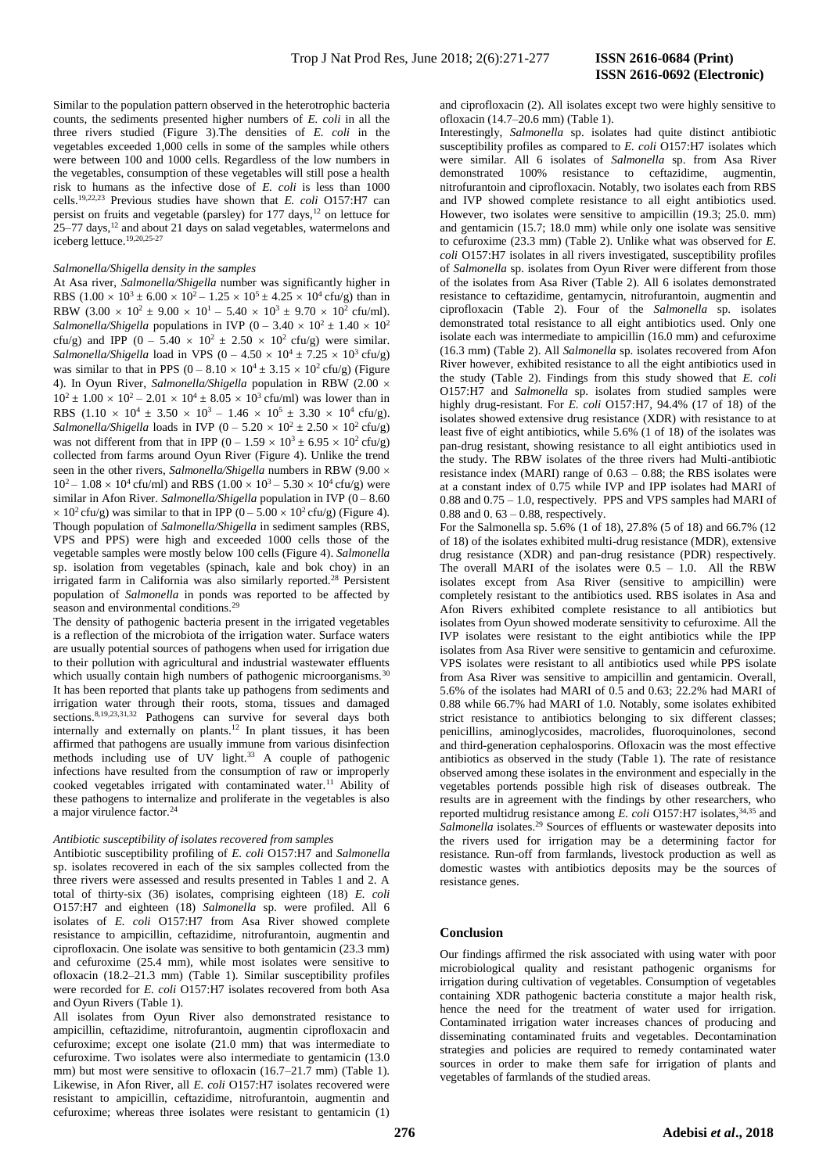Similar to the population pattern observed in the heterotrophic bacteria counts, the sediments presented higher numbers of *E. coli* in all the three rivers studied (Figure 3).The densities of *E. coli* in the vegetables exceeded 1,000 cells in some of the samples while others were between 100 and 1000 cells. Regardless of the low numbers in the vegetables, consumption of these vegetables will still pose a health risk to humans as the infective dose of *E. coli* is less than 1000 cells.19,22,23 Previous studies have shown that *E. coli* O157:H7 can persist on fruits and vegetable (parsley) for 177 days,<sup>12</sup> on lettuce for  $25-77$  days,<sup>12</sup> and about 21 days on salad vegetables, watermelons and iceberg lettuce.19,20,25-27

### *Salmonella/Shigella density in the samples*

At Asa river, *Salmonella/Shigella* number was significantly higher in RBS  $(1.00 \times 10^3 \pm 6.00 \times 10^2 - 1.25 \times 10^5 \pm 4.25 \times 10^4 \text{ cfty/g})$  than in RBW  $(3.00 \times 10^2 \pm 9.00 \times 10^1 - 5.40 \times 10^3 \pm 9.70 \times 10^2 \text{ cftu/ml}).$ *Salmonella/Shigella* populations in IVP ( $0 - 3.40 \times 10^2 \pm 1.40 \times 10^2$ ) cfu/g) and IPP (0 – 5.40  $\times$  10<sup>2</sup>  $\pm$  2.50  $\times$  10<sup>2</sup> cfu/g) were similar. *Salmonella/Shigella* load in VPS  $(0 - 4.50 \times 10^4 \pm 7.25 \times 10^3 \text{ cftu/g})$ was similar to that in PPS  $(0 - 8.10 \times 10^4 \pm 3.15 \times 10^2 \text{ cftu/g})$  (Figure 4). In Oyun River, *Salmonella/Shigella* population in RBW (2.00  $10^2 \pm 1.00 \times 10^2 - 2.01 \times 10^4 \pm 8.05 \times 10^3$  cfu/ml) was lower than in RBS  $(1.10 \times 10^4 \pm 3.50 \times 10^3 - 1.46 \times 10^5 \pm 3.30 \times 10^4 \text{ cfty})$ . *Salmonella/Shigella* loads in IVP  $(0 - 5.20 \times 10^2 \pm 2.50 \times 10^2 \text{ cftu/g})$ was not different from that in IPP  $(0 - 1.59 \times 10^3 \pm 6.95 \times 10^2 \text{ cftu/g})$ collected from farms around Oyun River (Figure 4). Unlike the trend seen in the other rivers, *Salmonella/Shigella* numbers in RBW (9.00  $10^2 - 1.08 \times 10^4$  cfu/ml) and RBS  $(1.00 \times 10^3 - 5.30 \times 10^4$  cfu/g) were similar in Afon River. *Salmonella/Shigella* population in IVP (0 – 8.60)  $\times$  10<sup>2</sup> cfu/g) was similar to that in IPP (0 – 5.00  $\times$  10<sup>2</sup> cfu/g) (Figure 4). Though population of *Salmonella/Shigella* in sediment samples (RBS, VPS and PPS) were high and exceeded 1000 cells those of the vegetable samples were mostly below 100 cells (Figure 4). *Salmonella* sp. isolation from vegetables (spinach, kale and bok choy) in an irrigated farm in California was also similarly reported.<sup>28</sup> Persistent population of *Salmonella* in ponds was reported to be affected by season and environmental conditions.<sup>29</sup>

The density of pathogenic bacteria present in the irrigated vegetables is a reflection of the microbiota of the irrigation water. Surface waters are usually potential sources of pathogens when used for irrigation due to their pollution with agricultural and industrial wastewater effluents which usually contain high numbers of pathogenic microorganisms.<sup>30</sup> It has been reported that plants take up pathogens from sediments and irrigation water through their roots, stoma, tissues and damaged sections.<sup>8,19,23,31,32</sup> Pathogens can survive for several days both internally and externally on plants.<sup>12</sup> In plant tissues, it has been affirmed that pathogens are usually immune from various disinfection methods including use of UV light.<sup>33</sup> A couple of pathogenic infections have resulted from the consumption of raw or improperly cooked vegetables irrigated with contaminated water.<sup>11</sup> Ability of these pathogens to internalize and proliferate in the vegetables is also a major virulence factor.<sup>24</sup>

### *Antibiotic susceptibility of isolates recovered from samples*

Antibiotic susceptibility profiling of *E. coli* O157:H7 and *Salmonella* sp. isolates recovered in each of the six samples collected from the three rivers were assessed and results presented in Tables 1 and 2. A total of thirty-six (36) isolates, comprising eighteen (18) *E. coli* O157:H7 and eighteen (18) *Salmonella* sp. were profiled. All 6 isolates of *E. coli* O157:H7 from Asa River showed complete resistance to ampicillin, ceftazidime, nitrofurantoin, augmentin and ciprofloxacin. One isolate was sensitive to both gentamicin (23.3 mm) and cefuroxime (25.4 mm), while most isolates were sensitive to ofloxacin (18.2–21.3 mm) (Table 1). Similar susceptibility profiles were recorded for *E. coli* O157:H7 isolates recovered from both Asa and Oyun Rivers (Table 1).

All isolates from Oyun River also demonstrated resistance to ampicillin, ceftazidime, nitrofurantoin, augmentin ciprofloxacin and cefuroxime; except one isolate (21.0 mm) that was intermediate to cefuroxime. Two isolates were also intermediate to gentamicin (13.0 mm) but most were sensitive to ofloxacin (16.7–21.7 mm) (Table 1). Likewise, in Afon River, all *E. coli* O157:H7 isolates recovered were resistant to ampicillin, ceftazidime, nitrofurantoin, augmentin and cefuroxime; whereas three isolates were resistant to gentamicin (1)

and ciprofloxacin (2). All isolates except two were highly sensitive to ofloxacin (14.7–20.6 mm) (Table 1).

Interestingly, *Salmonella* sp. isolates had quite distinct antibiotic susceptibility profiles as compared to *E. coli* O157:H7 isolates which were similar. All 6 isolates of *Salmonella* sp. from Asa River demonstrated 100% resistance to ceftazidime, augmentin, nitrofurantoin and ciprofloxacin. Notably, two isolates each from RBS and IVP showed complete resistance to all eight antibiotics used. However, two isolates were sensitive to ampicillin (19.3; 25.0. mm) and gentamicin (15.7; 18.0 mm) while only one isolate was sensitive to cefuroxime (23.3 mm) (Table 2). Unlike what was observed for *E. coli* O157:H7 isolates in all rivers investigated, susceptibility profiles of *Salmonella* sp. isolates from Oyun River were different from those of the isolates from Asa River (Table 2). All 6 isolates demonstrated resistance to ceftazidime, gentamycin, nitrofurantoin, augmentin and ciprofloxacin (Table 2). Four of the *Salmonella* sp. isolates demonstrated total resistance to all eight antibiotics used. Only one isolate each was intermediate to ampicillin (16.0 mm) and cefuroxime (16.3 mm) (Table 2). All *Salmonella* sp. isolates recovered from Afon River however, exhibited resistance to all the eight antibiotics used in the study (Table 2). Findings from this study showed that *E. coli* O157:H7 and *Salmonella* sp. isolates from studied samples were highly drug-resistant. For *E. coli* O157:H7, 94.4% (17 of 18) of the isolates showed extensive drug resistance (XDR) with resistance to at least five of eight antibiotics, while 5.6% (1 of 18) of the isolates was pan-drug resistant, showing resistance to all eight antibiotics used in the study. The RBW isolates of the three rivers had Multi-antibiotic resistance index (MARI) range of 0.63 – 0.88; the RBS isolates were at a constant index of 0.75 while IVP and IPP isolates had MARI of 0.88 and 0.75 – 1.0, respectively. PPS and VPS samples had MARI of 0.88 and 0. 63 – 0.88, respectively.

For the Salmonella sp. 5.6% (1 of 18), 27.8% (5 of 18) and 66.7% (12 of 18) of the isolates exhibited multi-drug resistance (MDR), extensive drug resistance (XDR) and pan-drug resistance (PDR) respectively. The overall MARI of the isolates were 0.5 – 1.0. All the RBW isolates except from Asa River (sensitive to ampicillin) were completely resistant to the antibiotics used. RBS isolates in Asa and Afon Rivers exhibited complete resistance to all antibiotics but isolates from Oyun showed moderate sensitivity to cefuroxime. All the IVP isolates were resistant to the eight antibiotics while the IPP isolates from Asa River were sensitive to gentamicin and cefuroxime. VPS isolates were resistant to all antibiotics used while PPS isolate from Asa River was sensitive to ampicillin and gentamicin. Overall, 5.6% of the isolates had MARI of 0.5 and 0.63; 22.2% had MARI of 0.88 while 66.7% had MARI of 1.0. Notably, some isolates exhibited strict resistance to antibiotics belonging to six different classes; penicillins, aminoglycosides, macrolides, fluoroquinolones, second and third-generation cephalosporins. Ofloxacin was the most effective antibiotics as observed in the study (Table 1). The rate of resistance observed among these isolates in the environment and especially in the vegetables portends possible high risk of diseases outbreak. The results are in agreement with the findings by other researchers, who reported multidrug resistance among *E. coli* O157:H7 isolates,<sup>34,35</sup> and Salmonella isolates.<sup>29</sup> Sources of effluents or wastewater deposits into the rivers used for irrigation may be a determining factor for resistance. Run-off from farmlands, livestock production as well as domestic wastes with antibiotics deposits may be the sources of resistance genes.

### **Conclusion**

Our findings affirmed the risk associated with using water with poor microbiological quality and resistant pathogenic organisms for irrigation during cultivation of vegetables. Consumption of vegetables containing XDR pathogenic bacteria constitute a major health risk, hence the need for the treatment of water used for irrigation. Contaminated irrigation water increases chances of producing and disseminating contaminated fruits and vegetables. Decontamination strategies and policies are required to remedy contaminated water sources in order to make them safe for irrigation of plants and vegetables of farmlands of the studied areas.